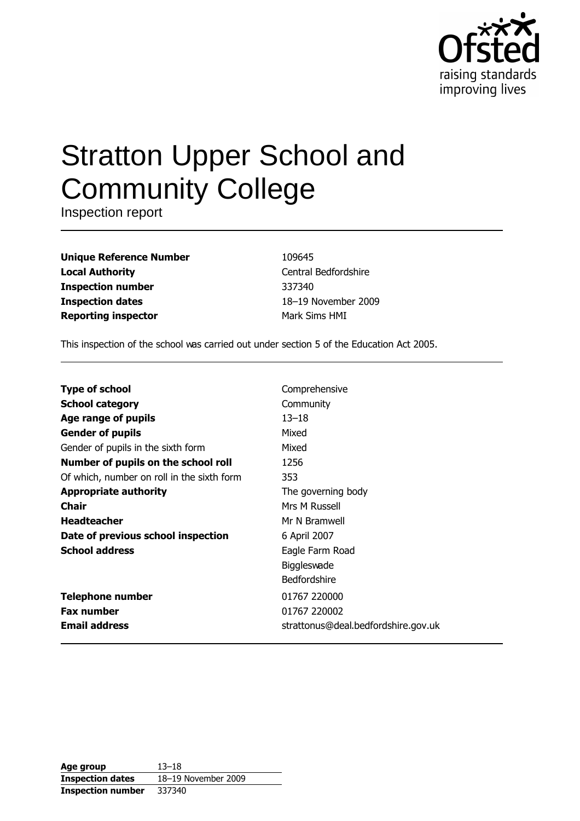

# **Stratton Upper School and Community College**

Inspection report

| <b>Unique Reference Number</b> |
|--------------------------------|
| <b>Local Authority</b>         |
| <b>Inspection number</b>       |
| <b>Inspection dates</b>        |
| <b>Reporting inspector</b>     |

109645 Central Bedfordshire 337340 18-19 November 2009 Mark Sims HMI

This inspection of the school was carried out under section 5 of the Education Act 2005.

| <b>Type of school</b>                      | Comprehensive                       |
|--------------------------------------------|-------------------------------------|
| <b>School category</b>                     | Community                           |
| Age range of pupils                        | $13 - 18$                           |
| <b>Gender of pupils</b>                    | Mixed                               |
| Gender of pupils in the sixth form         | Mixed                               |
| Number of pupils on the school roll        | 1256                                |
| Of which, number on roll in the sixth form | 353                                 |
| <b>Appropriate authority</b>               | The governing body                  |
| <b>Chair</b>                               | Mrs M Russell                       |
| <b>Headteacher</b>                         | Mr N Bramwell                       |
| Date of previous school inspection         | 6 April 2007                        |
| <b>School address</b>                      | Eagle Farm Road                     |
|                                            | <b>Biggleswade</b>                  |
|                                            | <b>Bedfordshire</b>                 |
| <b>Telephone number</b>                    | 01767 220000                        |
| <b>Fax number</b>                          | 01767 220002                        |
| <b>Email address</b>                       | strattonus@deal.bedfordshire.gov.uk |

| Age group                | $13 - 18$           |
|--------------------------|---------------------|
| <b>Inspection dates</b>  | 18-19 November 2009 |
| <b>Inspection number</b> | 337340              |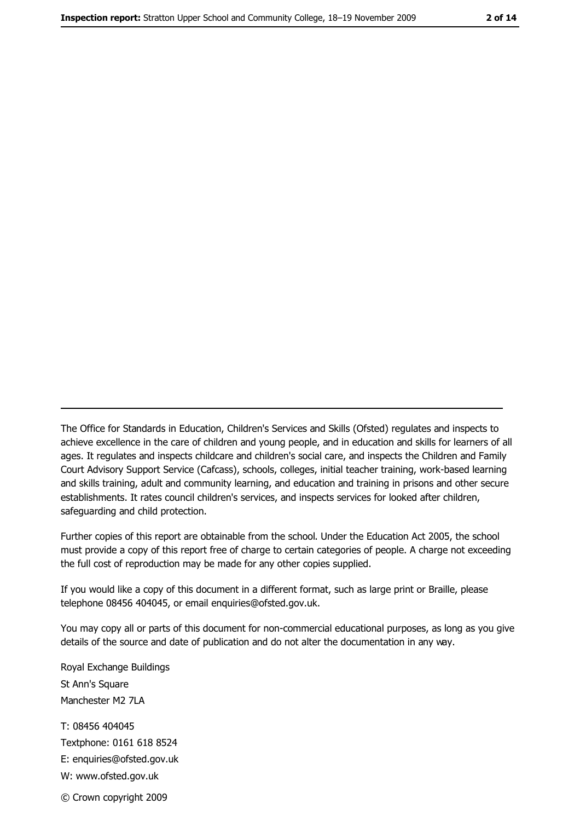The Office for Standards in Education, Children's Services and Skills (Ofsted) regulates and inspects to achieve excellence in the care of children and young people, and in education and skills for learners of all ages. It regulates and inspects childcare and children's social care, and inspects the Children and Family Court Advisory Support Service (Cafcass), schools, colleges, initial teacher training, work-based learning and skills training, adult and community learning, and education and training in prisons and other secure establishments. It rates council children's services, and inspects services for looked after children, safequarding and child protection.

Further copies of this report are obtainable from the school. Under the Education Act 2005, the school must provide a copy of this report free of charge to certain categories of people. A charge not exceeding the full cost of reproduction may be made for any other copies supplied.

If you would like a copy of this document in a different format, such as large print or Braille, please telephone 08456 404045, or email enquiries@ofsted.gov.uk.

You may copy all or parts of this document for non-commercial educational purposes, as long as you give details of the source and date of publication and do not alter the documentation in any way.

Royal Exchange Buildings St Ann's Square Manchester M2 7LA T: 08456 404045 Textphone: 0161 618 8524 E: enquiries@ofsted.gov.uk W: www.ofsted.gov.uk

© Crown copyright 2009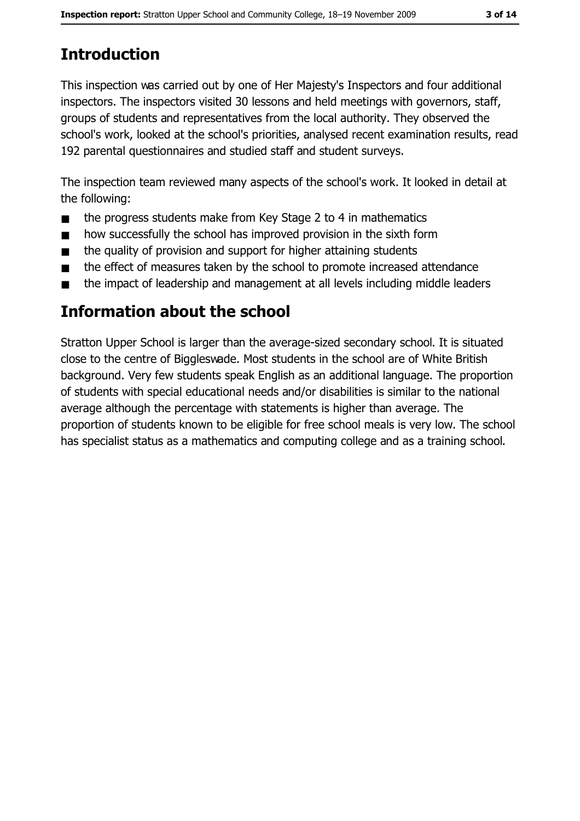# **Introduction**

This inspection was carried out by one of Her Majesty's Inspectors and four additional inspectors. The inspectors visited 30 lessons and held meetings with governors, staff, groups of students and representatives from the local authority. They observed the school's work, looked at the school's priorities, analysed recent examination results, read 192 parental questionnaires and studied staff and student surveys.

The inspection team reviewed many aspects of the school's work. It looked in detail at the following:

- the progress students make from Key Stage 2 to 4 in mathematics  $\blacksquare$
- how successfully the school has improved provision in the sixth form  $\blacksquare$
- the quality of provision and support for higher attaining students  $\blacksquare$
- the effect of measures taken by the school to promote increased attendance  $\blacksquare$
- the impact of leadership and management at all levels including middle leaders  $\blacksquare$

# Information about the school

Stratton Upper School is larger than the average-sized secondary school. It is situated close to the centre of Biggleswade. Most students in the school are of White British background. Very few students speak English as an additional language. The proportion of students with special educational needs and/or disabilities is similar to the national average although the percentage with statements is higher than average. The proportion of students known to be eligible for free school meals is very low. The school has specialist status as a mathematics and computing college and as a training school.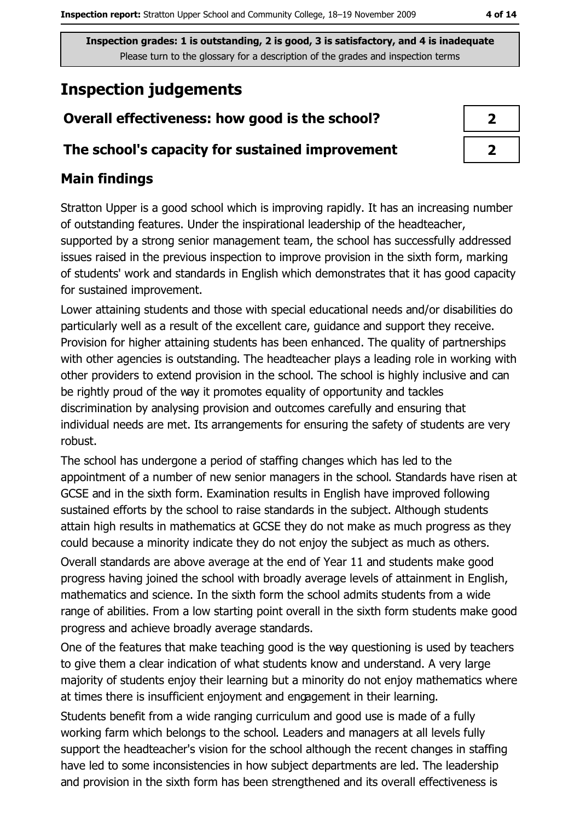# **Inspection judgements**

## Overall effectiveness: how good is the school?

#### The school's capacity for sustained improvement

## **Main findings**

Stratton Upper is a good school which is improving rapidly. It has an increasing number of outstanding features. Under the inspirational leadership of the headteacher, supported by a strong senior management team, the school has successfully addressed issues raised in the previous inspection to improve provision in the sixth form, marking of students' work and standards in English which demonstrates that it has good capacity for sustained improvement.

Lower attaining students and those with special educational needs and/or disabilities do particularly well as a result of the excellent care, quidance and support they receive. Provision for higher attaining students has been enhanced. The quality of partnerships with other agencies is outstanding. The headteacher plays a leading role in working with other providers to extend provision in the school. The school is highly inclusive and can be rightly proud of the way it promotes equality of opportunity and tackles discrimination by analysing provision and outcomes carefully and ensuring that individual needs are met. Its arrangements for ensuring the safety of students are very robust.

The school has undergone a period of staffing changes which has led to the appointment of a number of new senior managers in the school. Standards have risen at GCSE and in the sixth form. Examination results in English have improved following sustained efforts by the school to raise standards in the subject. Although students attain high results in mathematics at GCSE they do not make as much progress as they could because a minority indicate they do not enjoy the subject as much as others.

Overall standards are above average at the end of Year 11 and students make good progress having joined the school with broadly average levels of attainment in English, mathematics and science. In the sixth form the school admits students from a wide range of abilities. From a low starting point overall in the sixth form students make good progress and achieve broadly average standards.

One of the features that make teaching good is the way questioning is used by teachers to give them a clear indication of what students know and understand. A very large majority of students enjoy their learning but a minority do not enjoy mathematics where at times there is insufficient enjoyment and engagement in their learning.

Students benefit from a wide ranging curriculum and good use is made of a fully working farm which belongs to the school. Leaders and managers at all levels fully support the headteacher's vision for the school although the recent changes in staffing have led to some inconsistencies in how subject departments are led. The leadership and provision in the sixth form has been strengthened and its overall effectiveness is

| I |  |
|---|--|
|   |  |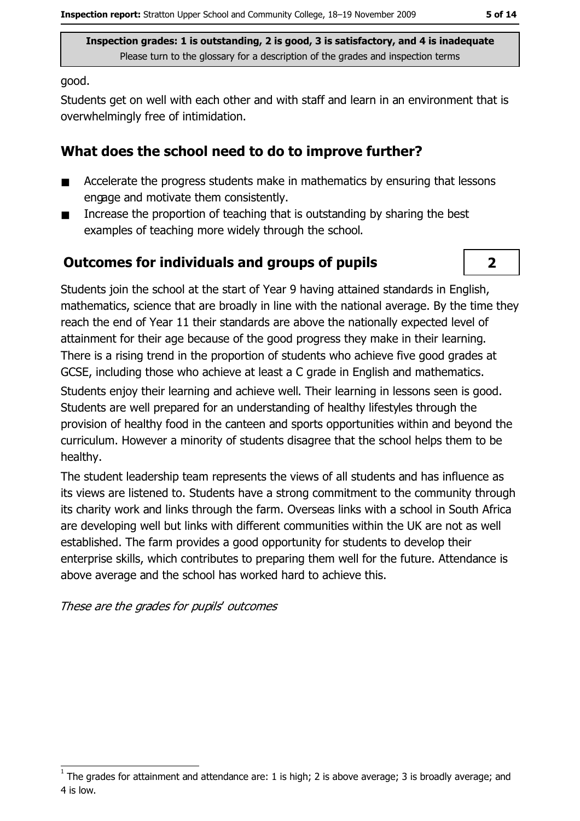good.

Students get on well with each other and with staff and learn in an environment that is overwhelmingly free of intimidation.

### What does the school need to do to improve further?

- Accelerate the progress students make in mathematics by ensuring that lessons  $\blacksquare$ engage and motivate them consistently.
- Increase the proportion of teaching that is outstanding by sharing the best  $\blacksquare$ examples of teaching more widely through the school.

## Outcomes for individuals and groups of pupils

 $\overline{\mathbf{2}}$ 

Students join the school at the start of Year 9 having attained standards in English, mathematics, science that are broadly in line with the national average. By the time they reach the end of Year 11 their standards are above the nationally expected level of attainment for their age because of the good progress they make in their learning. There is a rising trend in the proportion of students who achieve five good grades at GCSE, including those who achieve at least a C grade in English and mathematics.

Students enjoy their learning and achieve well. Their learning in lessons seen is good. Students are well prepared for an understanding of healthy lifestyles through the provision of healthy food in the canteen and sports opportunities within and beyond the curriculum. However a minority of students disagree that the school helps them to be healthy.

The student leadership team represents the views of all students and has influence as its views are listened to. Students have a strong commitment to the community through its charity work and links through the farm. Overseas links with a school in South Africa are developing well but links with different communities within the UK are not as well established. The farm provides a good opportunity for students to develop their enterprise skills, which contributes to preparing them well for the future. Attendance is above average and the school has worked hard to achieve this.

These are the grades for pupils' outcomes

The grades for attainment and attendance are: 1 is high; 2 is above average; 3 is broadly average; and 4 is low.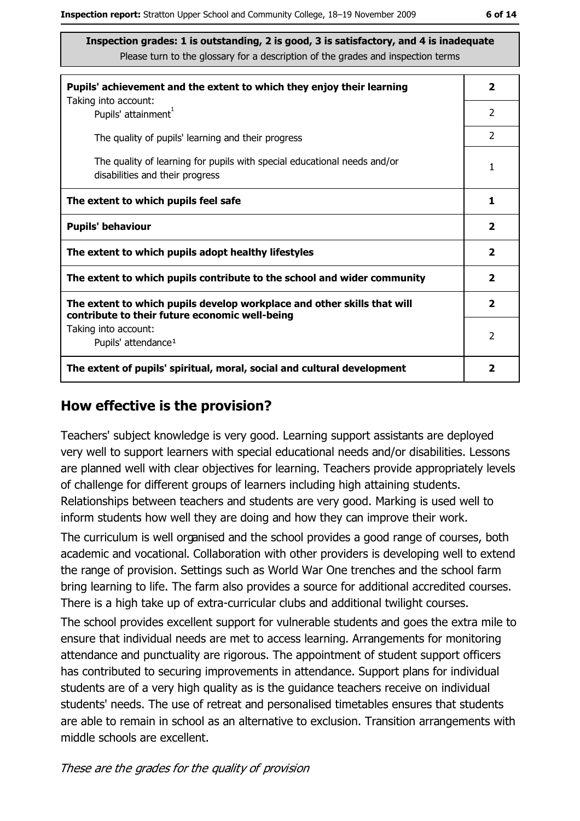| Pupils' achievement and the extent to which they enjoy their learning                                                     |                         |  |
|---------------------------------------------------------------------------------------------------------------------------|-------------------------|--|
| Taking into account:<br>Pupils' attainment <sup>1</sup>                                                                   | 2                       |  |
| The quality of pupils' learning and their progress                                                                        | $\mathcal{P}$           |  |
| The quality of learning for pupils with special educational needs and/or<br>disabilities and their progress               | 1                       |  |
| The extent to which pupils feel safe                                                                                      | 1                       |  |
| <b>Pupils' behaviour</b>                                                                                                  | $\overline{\mathbf{2}}$ |  |
| The extent to which pupils adopt healthy lifestyles                                                                       | $\overline{\mathbf{2}}$ |  |
| The extent to which pupils contribute to the school and wider community                                                   | $\overline{\mathbf{2}}$ |  |
| The extent to which pupils develop workplace and other skills that will<br>contribute to their future economic well-being | $\overline{\mathbf{2}}$ |  |
| Taking into account:<br>Pupils' attendance <sup>1</sup>                                                                   | 2                       |  |
| The extent of pupils' spiritual, moral, social and cultural development                                                   | 2                       |  |

#### How effective is the provision?

Teachers' subject knowledge is very good. Learning support assistants are deploved very well to support learners with special educational needs and/or disabilities. Lessons are planned well with clear objectives for learning. Teachers provide appropriately levels of challenge for different groups of learners including high attaining students. Relationships between teachers and students are very good. Marking is used well to inform students how well they are doing and how they can improve their work.

The curriculum is well organised and the school provides a good range of courses, both academic and vocational. Collaboration with other providers is developing well to extend the range of provision. Settings such as World War One trenches and the school farm bring learning to life. The farm also provides a source for additional accredited courses. There is a high take up of extra-curricular clubs and additional twilight courses.

The school provides excellent support for vulnerable students and goes the extra mile to ensure that individual needs are met to access learning. Arrangements for monitoring attendance and punctuality are rigorous. The appointment of student support officers has contributed to securing improvements in attendance. Support plans for individual students are of a very high quality as is the quidance teachers receive on individual students' needs. The use of retreat and personalised timetables ensures that students are able to remain in school as an alternative to exclusion. Transition arrangements with middle schools are excellent.

These are the grades for the quality of provision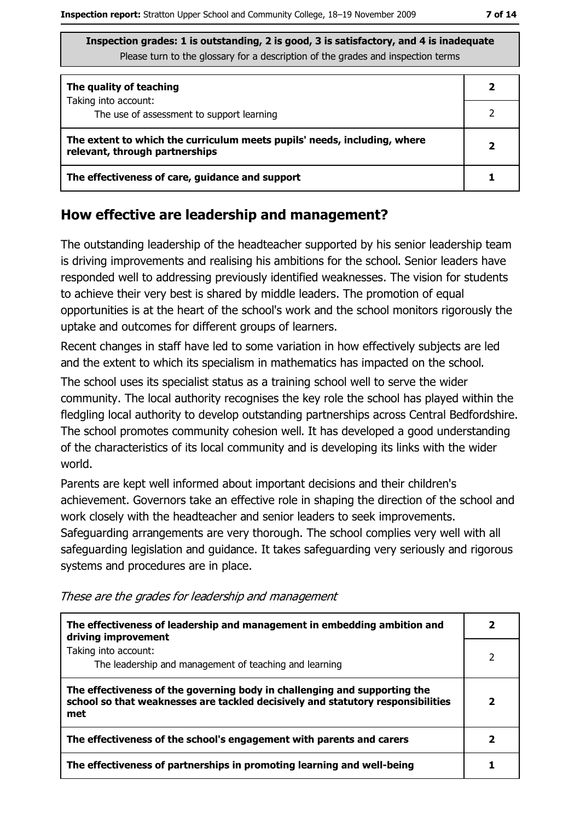| The quality of teaching                                                                                    |  |  |
|------------------------------------------------------------------------------------------------------------|--|--|
| Taking into account:<br>The use of assessment to support learning                                          |  |  |
| The extent to which the curriculum meets pupils' needs, including, where<br>relevant, through partnerships |  |  |
| The effectiveness of care, guidance and support                                                            |  |  |

#### How effective are leadership and management?

The outstanding leadership of the headteacher supported by his senior leadership team is driving improvements and realising his ambitions for the school. Senior leaders have responded well to addressing previously identified weaknesses. The vision for students to achieve their very best is shared by middle leaders. The promotion of equal opportunities is at the heart of the school's work and the school monitors rigorously the uptake and outcomes for different groups of learners.

Recent changes in staff have led to some variation in how effectively subjects are led and the extent to which its specialism in mathematics has impacted on the school.

The school uses its specialist status as a training school well to serve the wider community. The local authority recognises the key role the school has played within the fledgling local authority to develop outstanding partnerships across Central Bedfordshire. The school promotes community cohesion well. It has developed a good understanding of the characteristics of its local community and is developing its links with the wider world.

Parents are kept well informed about important decisions and their children's achievement. Governors take an effective role in shaping the direction of the school and work closely with the headteacher and senior leaders to seek improvements. Safeguarding arrangements are very thorough. The school complies very well with all safeguarding legislation and guidance. It takes safeguarding very seriously and rigorous systems and procedures are in place.

These are the grades for leadership and management

| The effectiveness of leadership and management in embedding ambition and<br>driving improvement                                                                     |  |  |
|---------------------------------------------------------------------------------------------------------------------------------------------------------------------|--|--|
| Taking into account:<br>The leadership and management of teaching and learning                                                                                      |  |  |
| The effectiveness of the governing body in challenging and supporting the<br>school so that weaknesses are tackled decisively and statutory responsibilities<br>met |  |  |
| The effectiveness of the school's engagement with parents and carers                                                                                                |  |  |
| The effectiveness of partnerships in promoting learning and well-being                                                                                              |  |  |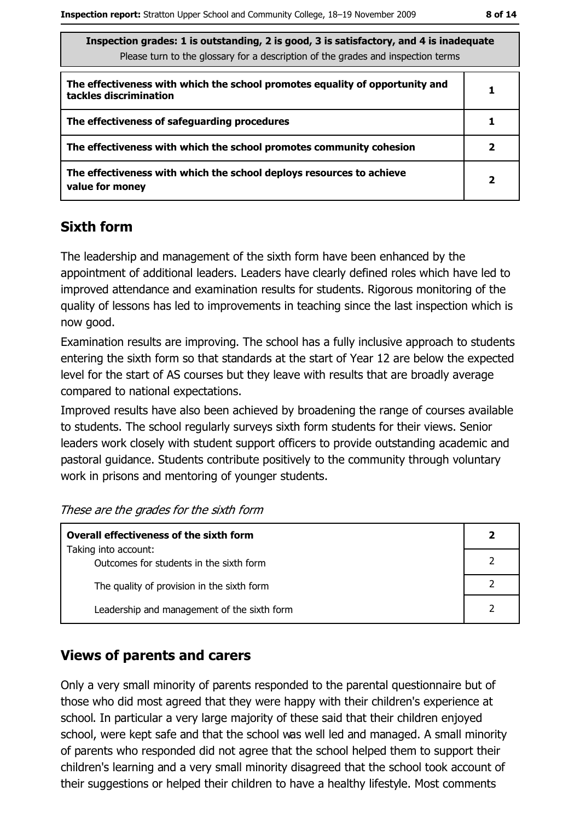| Inspection grades: 1 is outstanding, 2 is good, 3 is satisfactory, and 4 is inadequate |
|----------------------------------------------------------------------------------------|
| Please turn to the glossary for a description of the grades and inspection terms       |

| The effectiveness with which the school promotes equality of opportunity and<br>tackles discrimination |  |
|--------------------------------------------------------------------------------------------------------|--|
| The effectiveness of safeguarding procedures                                                           |  |
| The effectiveness with which the school promotes community cohesion                                    |  |
| The effectiveness with which the school deploys resources to achieve<br>value for money                |  |

#### **Sixth form**

The leadership and management of the sixth form have been enhanced by the appointment of additional leaders. Leaders have clearly defined roles which have led to improved attendance and examination results for students. Rigorous monitoring of the quality of lessons has led to improvements in teaching since the last inspection which is now good.

Examination results are improving. The school has a fully inclusive approach to students entering the sixth form so that standards at the start of Year 12 are below the expected level for the start of AS courses but they leave with results that are broadly average compared to national expectations.

Improved results have also been achieved by broadening the range of courses available to students. The school regularly surveys sixth form students for their views. Senior leaders work closely with student support officers to provide outstanding academic and pastoral guidance. Students contribute positively to the community through voluntary work in prisons and mentoring of younger students.

These are the grades for the sixth form

| <b>Overall effectiveness of the sixth form</b>                  | 2 |
|-----------------------------------------------------------------|---|
| Taking into account:<br>Outcomes for students in the sixth form |   |
| The quality of provision in the sixth form                      |   |
| Leadership and management of the sixth form                     |   |

#### **Views of parents and carers**

Only a very small minority of parents responded to the parental questionnaire but of those who did most agreed that they were happy with their children's experience at school. In particular a very large majority of these said that their children enjoyed school, were kept safe and that the school was well led and managed. A small minority of parents who responded did not agree that the school helped them to support their children's learning and a very small minority disagreed that the school took account of their suggestions or helped their children to have a healthy lifestyle. Most comments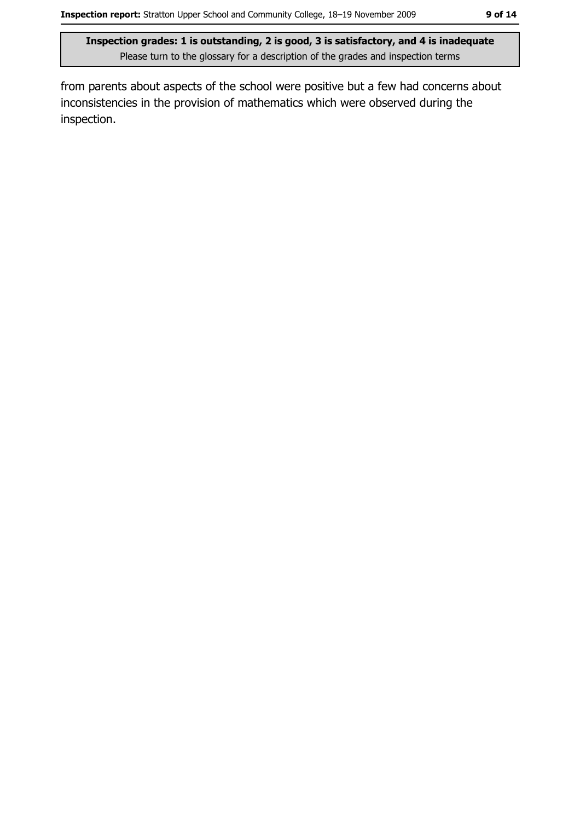from parents about aspects of the school were positive but a few had concerns about inconsistencies in the provision of mathematics which were observed during the inspection.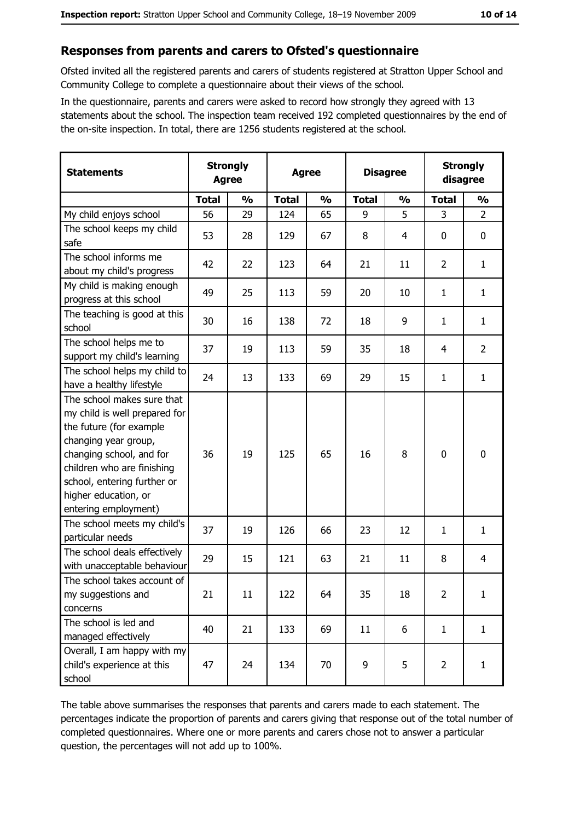#### Responses from parents and carers to Ofsted's questionnaire

Ofsted invited all the registered parents and carers of students registered at Stratton Upper School and Community College to complete a questionnaire about their views of the school.

In the questionnaire, parents and carers were asked to record how strongly they agreed with 13 statements about the school. The inspection team received 192 completed questionnaires by the end of the on-site inspection. In total, there are 1256 students registered at the school.

| <b>Statements</b>                                                                                                                                                                                                                                       | <b>Strongly</b><br><b>Agree</b> |               | <b>Agree</b> |               |              | <b>Disagree</b> |                | <b>Strongly</b><br>disagree |
|---------------------------------------------------------------------------------------------------------------------------------------------------------------------------------------------------------------------------------------------------------|---------------------------------|---------------|--------------|---------------|--------------|-----------------|----------------|-----------------------------|
|                                                                                                                                                                                                                                                         | <b>Total</b>                    | $\frac{1}{2}$ | <b>Total</b> | $\frac{0}{0}$ | <b>Total</b> | $\frac{0}{0}$   | <b>Total</b>   | $\frac{0}{0}$               |
| My child enjoys school                                                                                                                                                                                                                                  | 56                              | 29            | 124          | 65            | 9            | 5               | 3              | $\overline{2}$              |
| The school keeps my child<br>safe                                                                                                                                                                                                                       | 53                              | 28            | 129          | 67            | 8            | 4               | 0              | $\mathbf 0$                 |
| The school informs me<br>about my child's progress                                                                                                                                                                                                      | 42                              | 22            | 123          | 64            | 21           | 11              | $\overline{2}$ | $\mathbf{1}$                |
| My child is making enough<br>progress at this school                                                                                                                                                                                                    | 49                              | 25            | 113          | 59            | 20           | 10              | 1              | $\mathbf{1}$                |
| The teaching is good at this<br>school                                                                                                                                                                                                                  | 30                              | 16            | 138          | 72            | 18           | 9               | 1              | $\mathbf{1}$                |
| The school helps me to<br>support my child's learning                                                                                                                                                                                                   | 37                              | 19            | 113          | 59            | 35           | 18              | 4              | $\overline{2}$              |
| The school helps my child to<br>have a healthy lifestyle                                                                                                                                                                                                | 24                              | 13            | 133          | 69            | 29           | 15              | 1              | $\mathbf{1}$                |
| The school makes sure that<br>my child is well prepared for<br>the future (for example<br>changing year group,<br>changing school, and for<br>children who are finishing<br>school, entering further or<br>higher education, or<br>entering employment) | 36                              | 19            | 125          | 65            | 16           | 8               | 0              | $\mathbf 0$                 |
| The school meets my child's<br>particular needs                                                                                                                                                                                                         | 37                              | 19            | 126          | 66            | 23           | 12              | 1              | $\mathbf{1}$                |
| The school deals effectively<br>with unacceptable behaviour                                                                                                                                                                                             | 29                              | 15            | 121          | 63            | 21           | 11              | 8              | $\overline{4}$              |
| The school takes account of<br>my suggestions and<br>concerns                                                                                                                                                                                           | 21                              | 11            | 122          | 64            | 35           | 18              | $\overline{2}$ | $\mathbf{1}$                |
| The school is led and<br>managed effectively                                                                                                                                                                                                            | 40                              | 21            | 133          | 69            | 11           | 6               | $\mathbf{1}$   | $\mathbf{1}$                |
| Overall, I am happy with my<br>child's experience at this<br>school                                                                                                                                                                                     | 47                              | 24            | 134          | 70            | 9            | 5               | $\overline{2}$ | $\mathbf{1}$                |

The table above summarises the responses that parents and carers made to each statement. The percentages indicate the proportion of parents and carers giving that response out of the total number of completed questionnaires. Where one or more parents and carers chose not to answer a particular question, the percentages will not add up to 100%.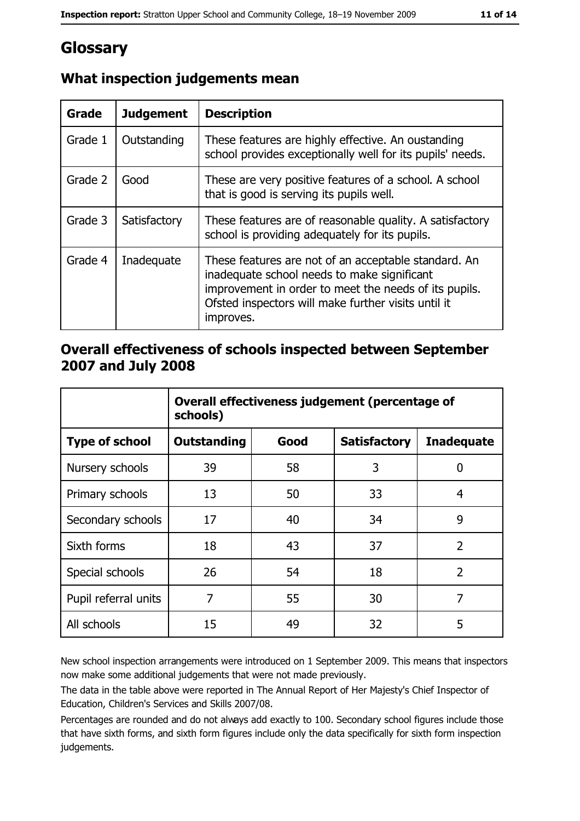# Glossary

| Grade   | <b>Judgement</b> | <b>Description</b>                                                                                                                                                                                                               |
|---------|------------------|----------------------------------------------------------------------------------------------------------------------------------------------------------------------------------------------------------------------------------|
| Grade 1 | Outstanding      | These features are highly effective. An oustanding<br>school provides exceptionally well for its pupils' needs.                                                                                                                  |
| Grade 2 | Good             | These are very positive features of a school. A school<br>that is good is serving its pupils well.                                                                                                                               |
| Grade 3 | Satisfactory     | These features are of reasonable quality. A satisfactory<br>school is providing adequately for its pupils.                                                                                                                       |
| Grade 4 | Inadequate       | These features are not of an acceptable standard. An<br>inadequate school needs to make significant<br>improvement in order to meet the needs of its pupils.<br>Ofsted inspectors will make further visits until it<br>improves. |

## What inspection judgements mean

#### Overall effectiveness of schools inspected between September 2007 and July 2008

|                       | Overall effectiveness judgement (percentage of<br>schools) |      |                     |                   |
|-----------------------|------------------------------------------------------------|------|---------------------|-------------------|
| <b>Type of school</b> | Outstanding                                                | Good | <b>Satisfactory</b> | <b>Inadequate</b> |
| Nursery schools       | 39                                                         | 58   | 3                   | 0                 |
| Primary schools       | 13                                                         | 50   | 33                  | 4                 |
| Secondary schools     | 17                                                         | 40   | 34                  | 9                 |
| Sixth forms           | 18                                                         | 43   | 37                  | $\overline{2}$    |
| Special schools       | 26                                                         | 54   | 18                  | $\overline{2}$    |
| Pupil referral units  | 7                                                          | 55   | 30                  | 7                 |
| All schools           | 15                                                         | 49   | 32                  | 5                 |

New school inspection arrangements were introduced on 1 September 2009. This means that inspectors now make some additional judgements that were not made previously.

The data in the table above were reported in The Annual Report of Her Majesty's Chief Inspector of Education, Children's Services and Skills 2007/08.

Percentages are rounded and do not always add exactly to 100. Secondary school figures include those that have sixth forms, and sixth form figures include only the data specifically for sixth form inspection judgements.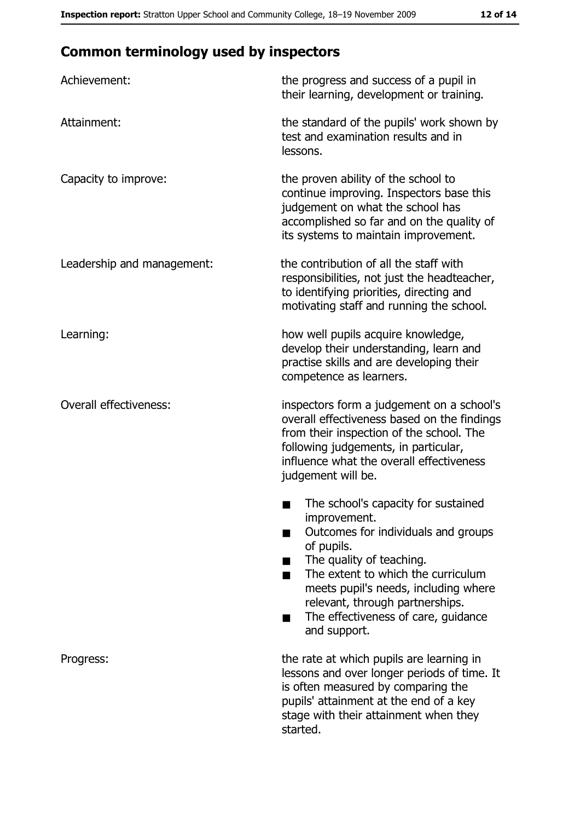# **Common terminology used by inspectors**

| Achievement:                  | the progress and success of a pupil in<br>their learning, development or training.                                                                                                                                                                                                                           |  |
|-------------------------------|--------------------------------------------------------------------------------------------------------------------------------------------------------------------------------------------------------------------------------------------------------------------------------------------------------------|--|
| Attainment:                   | the standard of the pupils' work shown by<br>test and examination results and in<br>lessons.                                                                                                                                                                                                                 |  |
| Capacity to improve:          | the proven ability of the school to<br>continue improving. Inspectors base this<br>judgement on what the school has<br>accomplished so far and on the quality of<br>its systems to maintain improvement.                                                                                                     |  |
| Leadership and management:    | the contribution of all the staff with<br>responsibilities, not just the headteacher,<br>to identifying priorities, directing and<br>motivating staff and running the school.                                                                                                                                |  |
| Learning:                     | how well pupils acquire knowledge,<br>develop their understanding, learn and<br>practise skills and are developing their<br>competence as learners.                                                                                                                                                          |  |
| <b>Overall effectiveness:</b> | inspectors form a judgement on a school's<br>overall effectiveness based on the findings<br>from their inspection of the school. The<br>following judgements, in particular,<br>influence what the overall effectiveness<br>judgement will be.                                                               |  |
|                               | The school's capacity for sustained<br>improvement.<br>Outcomes for individuals and groups<br>of pupils.<br>The quality of teaching.<br>The extent to which the curriculum<br>meets pupil's needs, including where<br>relevant, through partnerships.<br>The effectiveness of care, guidance<br>and support. |  |
| Progress:                     | the rate at which pupils are learning in<br>lessons and over longer periods of time. It<br>is often measured by comparing the<br>pupils' attainment at the end of a key<br>stage with their attainment when they<br>started.                                                                                 |  |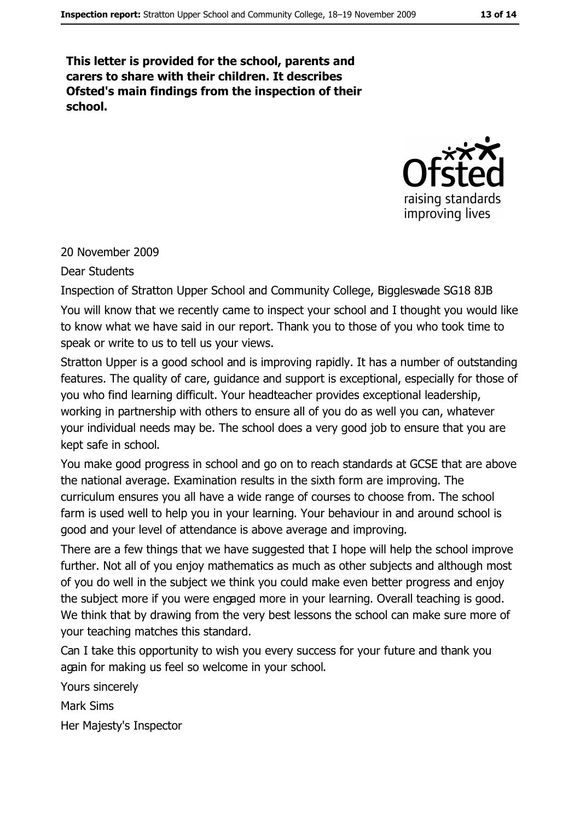This letter is provided for the school, parents and carers to share with their children. It describes Ofsted's main findings from the inspection of their school.



20 November 2009

**Dear Students** 

Inspection of Stratton Upper School and Community College, Biggleswade SG18 8JB You will know that we recently came to inspect your school and I thought you would like to know what we have said in our report. Thank you to those of you who took time to speak or write to us to tell us your views.

Stratton Upper is a good school and is improving rapidly. It has a number of outstanding features. The quality of care, quidance and support is exceptional, especially for those of you who find learning difficult. Your headteacher provides exceptional leadership, working in partnership with others to ensure all of you do as well you can, whatever your individual needs may be. The school does a very good job to ensure that you are kept safe in school.

You make good progress in school and go on to reach standards at GCSE that are above the national average. Examination results in the sixth form are improving. The curriculum ensures you all have a wide range of courses to choose from. The school farm is used well to help you in your learning. Your behaviour in and around school is good and your level of attendance is above average and improving.

There are a few things that we have suggested that I hope will help the school improve further. Not all of you enjoy mathematics as much as other subjects and although most of you do well in the subject we think you could make even better progress and enjoy the subject more if you were engaged more in your learning. Overall teaching is good. We think that by drawing from the very best lessons the school can make sure more of your teaching matches this standard.

Can I take this opportunity to wish you every success for your future and thank you again for making us feel so welcome in your school.

Yours sincerely **Mark Sims** Her Majesty's Inspector